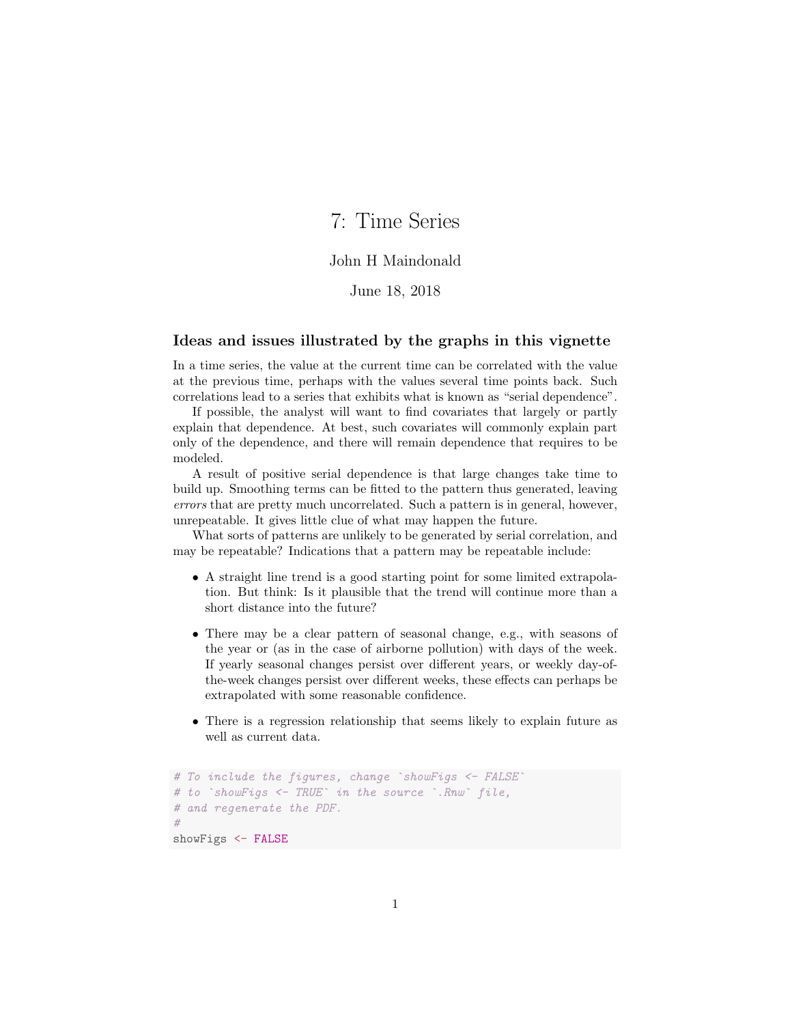# 7: Time Series

#### John H Maindonald

### June 18, 2018

#### Ideas and issues illustrated by the graphs in this vignette

In a time series, the value at the current time can be correlated with the value at the previous time, perhaps with the values several time points back. Such correlations lead to a series that exhibits what is known as "serial dependence".

If possible, the analyst will want to find covariates that largely or partly explain that dependence. At best, such covariates will commonly explain part only of the dependence, and there will remain dependence that requires to be modeled.

A result of positive serial dependence is that large changes take time to build up. Smoothing terms can be fitted to the pattern thus generated, leaving errors that are pretty much uncorrelated. Such a pattern is in general, however, unrepeatable. It gives little clue of what may happen the future.

What sorts of patterns are unlikely to be generated by serial correlation, and may be repeatable? Indications that a pattern may be repeatable include:

- A straight line trend is a good starting point for some limited extrapolation. But think: Is it plausible that the trend will continue more than a short distance into the future?
- There may be a clear pattern of seasonal change, e.g., with seasons of the year or (as in the case of airborne pollution) with days of the week. If yearly seasonal changes persist over different years, or weekly day-ofthe-week changes persist over different weeks, these effects can perhaps be extrapolated with some reasonable confidence.
- There is a regression relationship that seems likely to explain future as well as current data.

```
# To include the figures, change `showFigs <- FALSE
# to `showFigs <- TRUE` in the source `.Rnw` file,
# and regenerate the PDF.
#
showFigs <- FALSE
```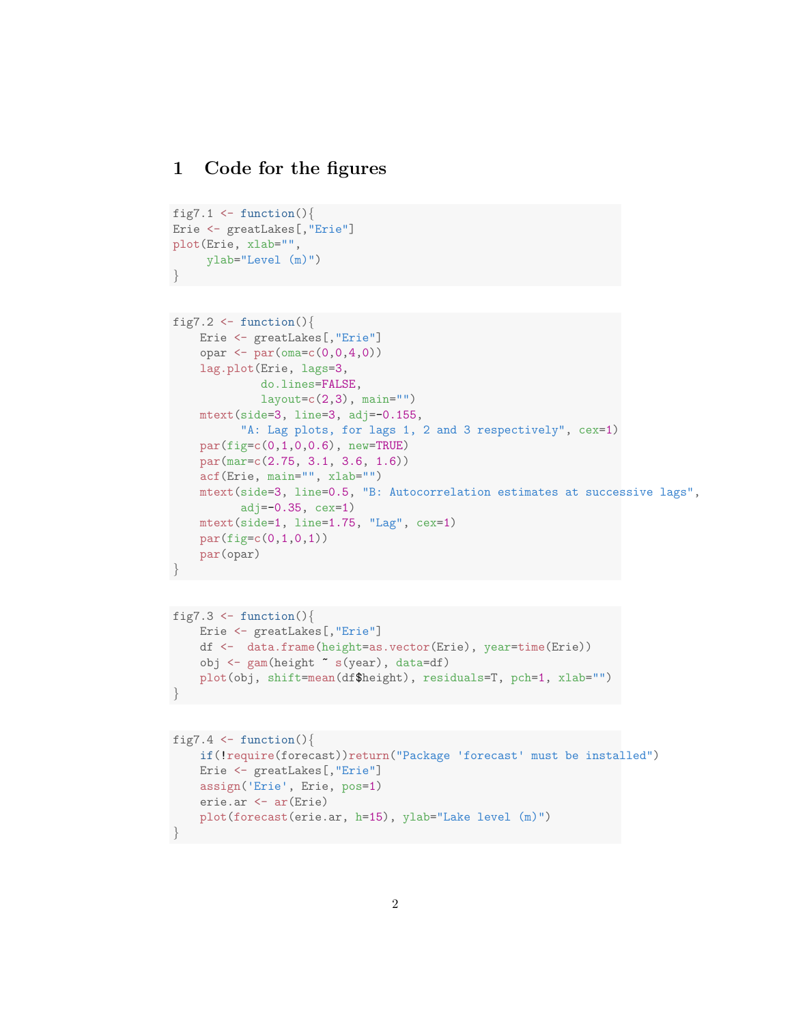### 1 Code for the figures

```
fig7.1 \leftarrow function(){
Erie <- greatLakes[,"Erie"]
plot(Erie, xlab="",
     ylab="Level (m)")
}
```

```
fig7.2 \leftarrow function(){
   Erie <- greatLakes[,"Erie"]
    opar \leq par(\text{oma} = c(0, 0, 4, 0))lag.plot(Erie, lags=3,
             do.lines=FALSE,
             layout=c(2,3), main="")
    mtext(side=3, line=3, adj=-0.155,
          "A: Lag plots, for lags 1, 2 and 3 respectively", cex=1)
    par(fig=c(0,1,0,0.6), new=TRUE)
    par(mar=c(2.75, 3.1, 3.6, 1.6))
    acf(Erie, main="", xlab="")
    mtext(side=3, line=0.5, "B: Autocorrelation estimates at successive lags",
          adj=-0.35, cex=1)mtext(side=1, line=1.75, "Lag", cex=1)
    par(fige(c(0,1,0,1))par(opar)
}
```

```
fig7.3 \leftarrow function(){
   Erie <- greatLakes[,"Erie"]
    df <- data.frame(height=as.vector(Erie), year=time(Erie))
    obj <- gam(height ~ s(year), data=df)
    plot(obj, shift=mean(df$height), residuals=T, pch=1, xlab="")
}
```

```
fig7.4 \leftarrow function(){
   if(!require(forecast))return("Package 'forecast' must be installed")
    Erie <- greatLakes[,"Erie"]
   assign('Erie', Erie, pos=1)
    erie.ar <- ar(Erie)
    plot(forecast(erie.ar, h=15), ylab="Lake level (m)")
}
```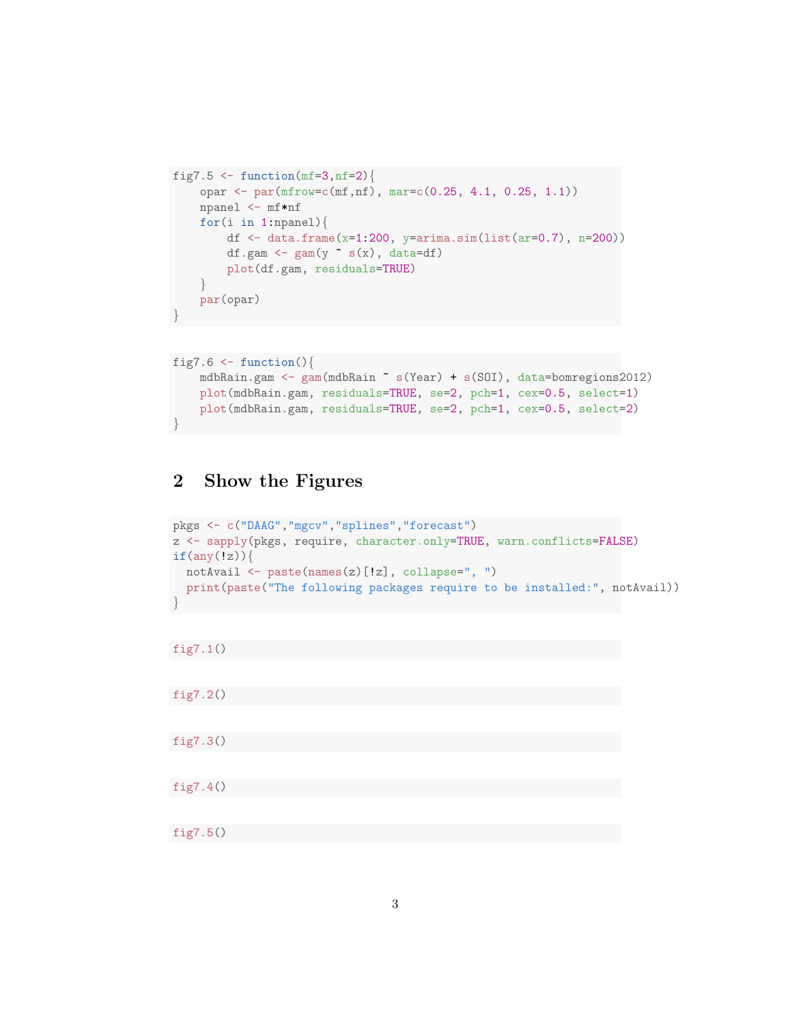```
fig7.5 <- function(mf=3,nf=2){
    opar <- par(mfrow=c(mf,nf), mar=c(0.25, 4.1, 0.25, 1.1))
    npanel <- mf*nf
    for(i in 1:npanel)\{df \leq data.frame(x=1:200, y=arima.sim(list(ar=0.7), n=200))df.gam <- \text{gam}(y \text{ s}(x), \text{ data=df})plot(df.gam, residuals=TRUE)
    }
    par(opar)
}
```

```
fig7.6 \leftarrow function(){
    mdbRain.gam <- gam(mdbRain ~ s(Year) + s(SOI), data=bomregions2012)
    plot(mdbRain.gam, residuals=TRUE, se=2, pch=1, cex=0.5, select=1)
    plot(mdbRain.gam, residuals=TRUE, se=2, pch=1, cex=0.5, select=2)
}
```
## 2 Show the Figures

```
pkgs <- c("DAAG","mgcv","splines","forecast")
z <- sapply(pkgs, require, character.only=TRUE, warn.conflicts=FALSE)
if(any(!z))notAvail <- paste(names(z)[!z], collapse=", ")
  print(paste("The following packages require to be installed:", notAvail))
}
```

```
fig7.1()
```
fig7.2()

fig7.3()

fig7.4()

fig7.5()